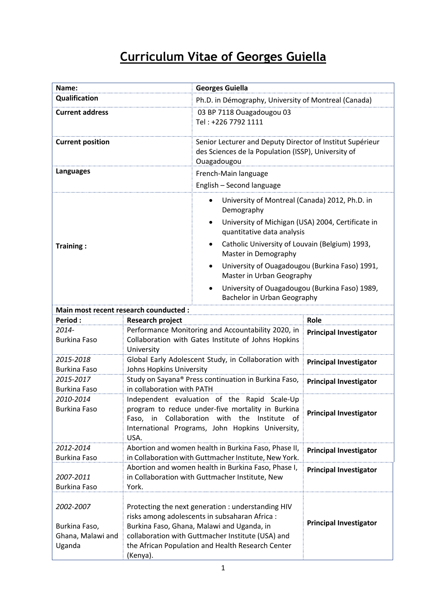## **Curriculum Vitae of Georges Guiella**

| Name:                                                     | <b>Georges Guiella</b>                                                                                                                                                                                                                                                   |                                                                                                                  |  |
|-----------------------------------------------------------|--------------------------------------------------------------------------------------------------------------------------------------------------------------------------------------------------------------------------------------------------------------------------|------------------------------------------------------------------------------------------------------------------|--|
| Qualification                                             |                                                                                                                                                                                                                                                                          | Ph.D. in Démography, University of Montreal (Canada)                                                             |  |
| <b>Current address</b>                                    | 03 BP 7118 Ouagadougou 03<br>Tel: +226 7792 1111                                                                                                                                                                                                                         |                                                                                                                  |  |
| <b>Current position</b>                                   | Ouagadougou                                                                                                                                                                                                                                                              | Senior Lecturer and Deputy Director of Institut Supérieur<br>des Sciences de la Population (ISSP), University of |  |
| <b>Languages</b>                                          | French-Main language                                                                                                                                                                                                                                                     |                                                                                                                  |  |
|                                                           | English - Second language                                                                                                                                                                                                                                                |                                                                                                                  |  |
|                                                           | $\bullet$<br>Demography                                                                                                                                                                                                                                                  | University of Montreal (Canada) 2012, Ph.D. in                                                                   |  |
|                                                           | $\bullet$                                                                                                                                                                                                                                                                | University of Michigan (USA) 2004, Certificate in<br>quantitative data analysis                                  |  |
| Training:                                                 | Master in Demography                                                                                                                                                                                                                                                     | Catholic University of Louvain (Belgium) 1993,                                                                   |  |
|                                                           | $\bullet$                                                                                                                                                                                                                                                                | University of Ouagadougou (Burkina Faso) 1991,<br>Master in Urban Geography                                      |  |
|                                                           | $\bullet$                                                                                                                                                                                                                                                                | University of Ouagadougou (Burkina Faso) 1989,<br>Bachelor in Urban Geography                                    |  |
| Main most recent research counducted :                    |                                                                                                                                                                                                                                                                          |                                                                                                                  |  |
| <b>Period:</b>                                            | <b>Research project</b>                                                                                                                                                                                                                                                  | Role                                                                                                             |  |
| 2014-<br><b>Burkina Faso</b>                              | Performance Monitoring and Accountability 2020, in<br>Collaboration with Gates Institute of Johns Hopkins<br>University                                                                                                                                                  | <b>Principal Investigator</b>                                                                                    |  |
| 2015-2018                                                 | Global Early Adolescent Study, in Collaboration with                                                                                                                                                                                                                     | <b>Principal Investigator</b>                                                                                    |  |
| <b>Burkina Faso</b>                                       | Johns Hopkins University                                                                                                                                                                                                                                                 |                                                                                                                  |  |
| 2015-2017<br><b>Burkina Faso</b>                          | Study on Sayana® Press continuation in Burkina Faso,<br>in collaboration with PATH                                                                                                                                                                                       | <b>Principal Investigator</b>                                                                                    |  |
| 2010-2014                                                 | Independent evaluation of the Rapid Scale-Up                                                                                                                                                                                                                             |                                                                                                                  |  |
| <b>Burkina Faso</b>                                       | program to reduce under-five mortality in Burkina<br>Faso, in Collaboration with the Institute of<br>International Programs, John Hopkins University,<br>USA.                                                                                                            | <b>Principal Investigator</b>                                                                                    |  |
| 2012-2014                                                 | Abortion and women health in Burkina Faso, Phase II,                                                                                                                                                                                                                     | <b>Principal Investigator</b>                                                                                    |  |
| <b>Burkina Faso</b>                                       | in Collaboration with Guttmacher Institute, New York.                                                                                                                                                                                                                    |                                                                                                                  |  |
| 2007-2011<br><b>Burkina Faso</b>                          | Abortion and women health in Burkina Faso, Phase I,<br>in Collaboration with Guttmacher Institute, New<br>York.                                                                                                                                                          | <b>Principal Investigator</b>                                                                                    |  |
| 2002-2007<br>Burkina Faso,<br>Ghana, Malawi and<br>Uganda | Protecting the next generation : understanding HIV<br>risks among adolescents in subsaharan Africa :<br>Burkina Faso, Ghana, Malawi and Uganda, in<br>collaboration with Guttmacher Institute (USA) and<br>the African Population and Health Research Center<br>(Kenya). | <b>Principal Investigator</b>                                                                                    |  |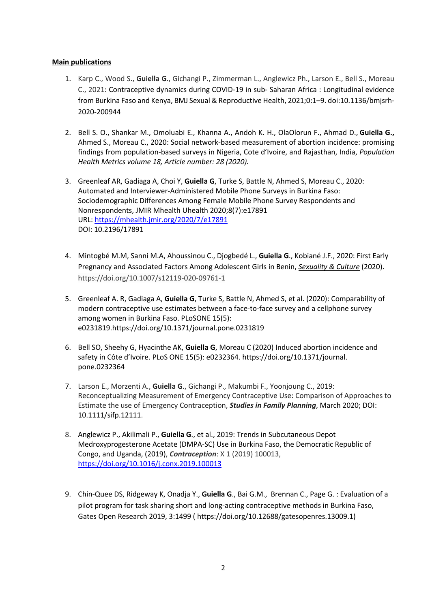## **Main publications**

- 1. Karp C., Wood S., **Guiella G**., Gichangi P., Zimmerman L., Anglewicz Ph., Larson E., Bell S., Moreau C., 2021: Contraceptive dynamics during COVID-19 in sub- Saharan Africa : Longitudinal evidence from Burkina Faso and Kenya, BMJ Sexual & Reproductive Health, 2021;0:1–9. doi:10.1136/bmjsrh-2020-200944
- 2. Bell S. O., Shankar M., Omoluabi E., Khanna A., Andoh K. H., OlaOlorun F., Ahmad D., **Guiella G.,** Ahmed S., Moreau C., 2020: Social network-based measurement of abortion incidence: promising findings from population-based surveys in Nigeria, Cote d'Ivoire, and Rajasthan, India, *Population Health Metrics volume 18, Article number: 28 (2020).*
- 3. Greenleaf AR, Gadiaga A, Choi Y, **Guiella G**, Turke S, Battle N, Ahmed S, Moreau C., 2020: Automated and Interviewer-Administered Mobile Phone Surveys in Burkina Faso: Sociodemographic Differences Among Female Mobile Phone Survey Respondents and Nonrespondents, JMIR Mhealth Uhealth 2020;8(7):e17891 URL: https://mhealth.jmir.org/2020/7/e17891 DOI: 10.2196/17891
- 4. Mintogbé M.M, Sanni M.A, Ahoussinou C., Djogbedé L., **Guiella G**., Kobiané J.F., 2020: First Early Pregnancy and Associated Factors Among Adolescent Girls in Benin, *Sexuality & Culture* (2020). https://doi.org/10.1007/s12119-020-09761-1
- 5. Greenleaf A. R, Gadiaga A, **Guiella G**, Turke S, Battle N, Ahmed S, et al. (2020): Comparability of modern contraceptive use estimates between a face-to-face survey and a cellphone survey among women in Burkina Faso. PLoSONE 15(5): e0231819.https://doi.org/10.1371/journal.pone.0231819
- 6. Bell SO, Sheehy G, Hyacinthe AK, **Guiella G**, Moreau C (2020) Induced abortion incidence and safety in Côte d'Ivoire. PLoS ONE 15(5): e0232364. https://doi.org/10.1371/journal. pone.0232364
- 7. Larson E., Morzenti A., **Guiella G**., Gichangi P., Makumbi F., Yoonjoung C., 2019: Reconceptualizing Measurement of Emergency Contraceptive Use: Comparison of Approaches to Estimate the use of Emergency Contraception, *Studies in Family Planning*, March 2020; DOI: 10.1111/sifp.12111.
- 8. Anglewicz P., Akilimali P., **Guiella G**., et al., 2019: Trends in Subcutaneous Depot Medroxyprogesterone Acetate (DMPA-SC) Use in Burkina Faso, the Democratic Republic of Congo, and Uganda, (2019), *Contraception*: X 1 (2019) 100013, https://doi.org/10.1016/j.conx.2019.100013
- 9. Chin-Quee DS, Ridgeway K, Onadja Y., **Guiella G**., Bai G.M., Brennan C., Page G. : Evaluation of a pilot program for task sharing short and long-acting contraceptive methods in Burkina Faso, Gates Open Research 2019, 3:1499 ( https://doi.org/10.12688/gatesopenres.13009.1)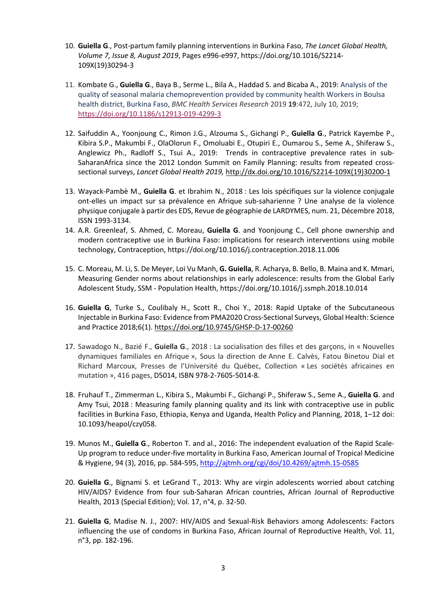- 10. **Guiella G**., Post-partum family planning interventions in Burkina Faso, *The Lancet Global Health, Volume 7, Issue 8, August 2019*, Pages e996-e997, https://doi.org/10.1016/S2214- 109X(19)30294-3
- 11. Kombate G., **Guiella G**., Baya B., Serme L., Bila A., Haddad S. and Bicaba A., 2019: Analysis of the quality of seasonal malaria chemoprevention provided by community health Workers in Boulsa health district, Burkina Faso, *BMC Health Services Research* 2019 **19**:472, July 10, 2019; https://doi.org/10.1186/s12913-019-4299-3
- 12. Saifuddin A., Yoonjoung C., Rimon J.G., Alzouma S., Gichangi P., **Guiella G**., Patrick Kayembe P., Kibira S.P., Makumbi F., OlaOlorun F., Omoluabi E., Otupiri E., Oumarou S., Seme A., Shiferaw S., Anglewicz Ph., Radloff S., Tsui A., 2019: Trends in contraceptive prevalence rates in sub-SaharanAfrica since the 2012 London Summit on Family Planning: results from repeated crosssectional surveys, *Lancet Global Health 2019,* http://dx.doi.org/10.1016/S2214-109X(19)30200-1
- 13. Wayack-Pambè M., **Guiella G**. et Ibrahim N., 2018 : Les lois spécifiques sur la violence conjugale ont-elles un impact sur sa prévalence en Afrique sub-saharienne ? Une analyse de la violence physique conjugale à partir des EDS, Revue de géographie de LARDYMES, num. 21, Décembre 2018, ISSN 1993-3134.
- 14. A.R. Greenleaf, S. Ahmed, C. Moreau, **Guiella G**. and Yoonjoung C., Cell phone ownership and modern contraceptive use in Burkina Faso: implications for research interventions using mobile technology, Contraception, https://doi.org/10.1016/j.contraception.2018.11.006
- 15. C. Moreau, M. Li, S. De Meyer, Loi Vu Manh, **G. Guiella**, R. Acharya, B. Bello, B. Maina and K. Mmari, Measuring Gender norms about relationships in early adolescence: results from the Global Early Adolescent Study, SSM - Population Health, https://doi.org/10.1016/j.ssmph.2018.10.014
- 16. **Guiella G**, Turke S., Coulibaly H., Scott R., Choi Y., 2018: Rapid Uptake of the Subcutaneous Injectable in Burkina Faso: Evidence from PMA2020 Cross-Sectional Surveys, Global Health: Science and Practice 2018;6(1). https://doi.org/10.9745/GHSP-D-17-00260
- 17. Sawadogo N., Bazié F., **Guiella G**., 2018 : La socialisation des filles et des garçons, in « Nouvelles dynamiques familiales en Afrique », Sous la direction de Anne E. Calvès, Fatou Binetou Dial et Richard Marcoux, Presses de l'Université du Québec, Collection « Les sociétés africaines en mutation », 416 pages, D5014, ISBN 978-2-7605-5014-8.
- 18. Fruhauf T., Zimmerman L., Kibira S., Makumbi F., Gichangi P., Shiferaw S., Seme A., **Guiella G**. and Amy Tsui, 2018 : Measuring family planning quality and its link with contraceptive use in public facilities in Burkina Faso, Ethiopia, Kenya and Uganda, Health Policy and Planning, 2018, 1–12 doi: 10.1093/heapol/czy058.
- 19. Munos M., **Guiella G**., Roberton T. and al., 2016: The independent evaluation of the Rapid Scale-Up program to reduce under-five mortality in Burkina Faso, American Journal of Tropical Medicine & Hygiene, 94 (3), 2016, pp. 584-595, http://ajtmh.org/cgi/doi/10.4269/ajtmh.15-0585
- 20. **Guiella G**., Bignami S. et LeGrand T., 2013: Why are virgin adolescents worried about catching HIV/AIDS? Evidence from four sub-Saharan African countries, African Journal of Reproductive Health, 2013 (Special Edition); Vol. 17, n°4, p. 32-50.
- 21. **Guiella G**, Madise N. J., 2007: HIV/AIDS and Sexual-Risk Behaviors among Adolescents: Factors influencing the use of condoms in Burkina Faso, African Journal of Reproductive Health, Vol. 11, n°3, pp. 182-196.